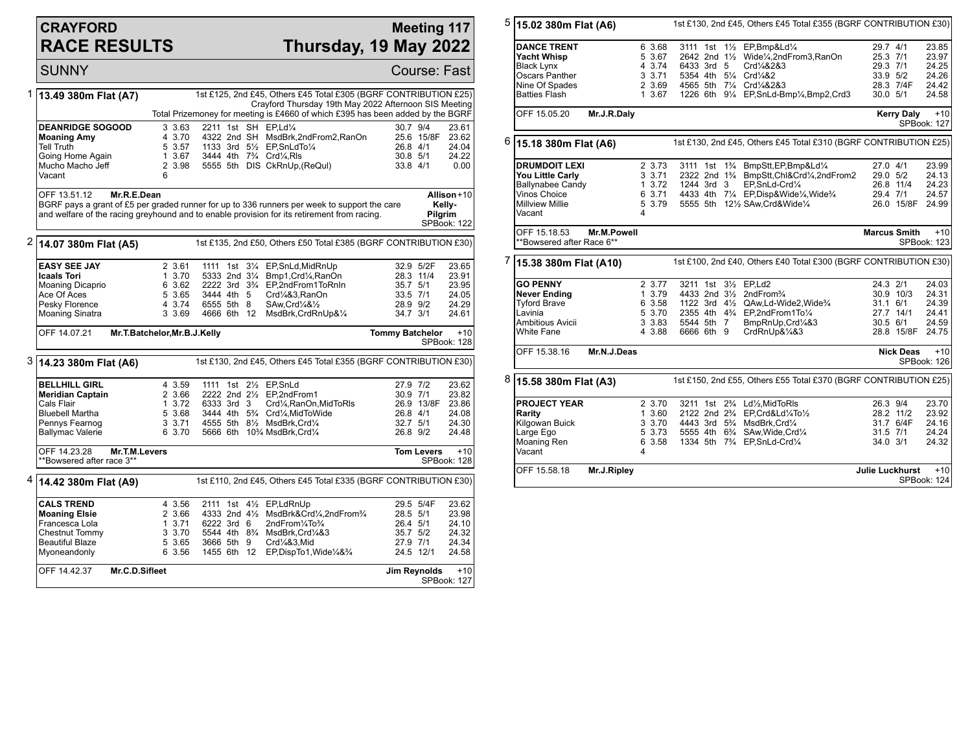## **CRAYFORD RACE RESULTS**

## **Meeting 117 Thursday, 19 May 2022**

SUNNY Course: Fast 1 **13.49 380m Flat (A7)** 1st £125, 2nd £45, Others £45 Total £305 (BGRF CONTRIBUTION £25) Crayford Thursday 19th May 2022 Afternoon SIS Meeting Total Prizemoney for meeting is £4660 of which £395 has been added by the BGRF **DEANRIDGE SOGOOD** 3 3.63 2211 1st SH EP,Ld¼ 30.7 9/4 23.61<br>Moaning Amy 4 3.70 4322 2nd SH MsdBrk,2ndFrom2,RanOn 25.6 15/8F 23.62 **Moaning Amy** 4 3.70 4322 2nd SH MsdBrk,2ndFrom2,RanOn 25.6 15/8F 23.62<br>
Tell Truth 19 5 3.57 1133 3rd 5<sup>1</sup>/<sub>2</sub> EP,SnLdTo<sup>1</sup>/<sub>4</sub> 26.8 4/1 24.04 Tell Truth 5 3.57 1133 3rd 5½ EP,SnLdTo¼ 26.8 4/1 24.04 Going Home Again 1 3.67 3444 4th 7<sup>3</sup>/<sub>4</sub> Crd<sup>1</sup>/<sub>4</sub>,Rls 30.8 5/1 24.22<br>Mucho Macho Jeff 2 3.98 5555 5th DIS CkRnUp (ReQuI) 33.8 4/1 0.00  $\begin{array}{lll} 2 & 3.98 & 5555 & 5\text{th} & \text{DIS} & \text{CkRnUp}, \text{(ReQul)} \\ 6 & & & \end{array}$ Vacant OFF 13.51.12 **Mr.R.E.Dean** BGRF pays a grant of £5 per graded runner for up to 336 runners per week to support the care and welfare of the racing greyhound and to enable provision for its retirement from racing. **Allison** +10 **Kelly-Pilgrim** SPBook: 122 2 **14.07 380m Flat (A5)** 1st £135, 2nd £50, Others £50 Total £385 (BGRF CONTRIBUTION £30) **EASY SEE JAY** 2 3.61 1111 1st 3<sup>1</sup>/<sub>4</sub> EP,SnLd,MidRnUp 32.9 5/2F 23.65<br> **Caals Tori** 23.91 23.70 5333 2nd 3<sup>1</sup>/<sub>4</sub> Bmp1.Crd<sup>1</sup>/<sub>4</sub> RanOn 28.3 11/4 23.91 **Icaals Tori** 1 3.70 5333 2nd 31/4 Bmp1, Crd<sup>1</sup>/<sub>4</sub>, RanOn 28.3 2nd 31/4 Bmp1, Crd<sup>1</sup>/<sub>4</sub>, RanOn 28.362 2222 3rd 3<sup>3</sup>/4 EP, 2nd From 1To RnIn Moaning Dicaprio 6 3.62 2222 3rd 3<sup>3</sup>/<sub>4</sub> EP,2ndFrom1ToRnIn 35.7 5/1 23.95<br>Ace Of Aces 6 3.65 3444 4th 5 Crd<sup>1</sup>/<sub>4</sub>&3,RanOn 33.5 7/1 24.05 Ace Of Aces 5 3.65 3444 4th 5 Crd¼&3,RanOn 33.5 7/1 24.05 Pesky Florence **4 3.74 6555 5th 8 SAw,Crd**<sup>1</sup>/<sub>4</sub>&1/<sub>2</sub> 28.9 9/2 24.29<br>Moaning Sinatra 3 3.69 4666 6th 12 MsdBrk,CrdRnUp&1/<sub>4</sub> 34.7 3/1 24.61 4666 6th 12 MsdBrk,CrdRnUp&1/4 OFF 14.07.21 **Mr.T.Batchelor,Mr.B.J.Kelly Tommy Batchelor** +10 SPBook: 128 3 **14.23 380m Flat (A6)** 1st £130, 2nd £45, Others £45 Total £355 (BGRF CONTRIBUTION £30) **BELLHILL GIRL** 4 3.59 1111 1st 2<sup>1</sup>/<sub>2</sub> EP,SnLd 27.9 7/2 23.62<br> **Meridian Captain** 2 3.66 2222 2nd 2<sup>1</sup>/<sub>2</sub> EP,2ndFrom1 30.9 7/1 23.82 **Meridian Captain** 2 3.66 2222 2nd 2<sup>1</sup>/<sub>2</sub> EP,2ndFrom1 30.9 7/1 23.82<br>Cals Flair 1 3.72 6333 3rd 3 Crd¼,RanOn,MidToRls 26.9 13/8F 23.86 Cals Flair 1 3.72 6333 3rd 3 Crd¼,RanOn,MidToRls 26.9 13/8F 23.86 Bluebell Martha 5 3.68 3444 4th 5¾ Crd¼,MidToWide 26.8 4/1 24.08 Pennys Fearnog 3 3.71 4555 5th 8½ MsdBrk,Crd¼ 32.7 5/1 24.30 5666 6th 10<sup>3</sup>/<sub>4</sub> MsdBrk,Crd<sup>1</sup>/<sub>4</sub> OFF 14.23.28 **Mr.T.M.Levers** \*\*Bowsered after race 3\*\* **Tom Levers** +10 SPBook: 128 4 **14.42 380m Flat (A9)** 1st £110, 2nd £45, Others £45 Total £335 (BGRF CONTRIBUTION £30) **CALS TREND** 4 3.56 2111 1st 4<sup>1</sup>/<sub>2</sub> EP,LdRnUp 29.5 5/4F 23.62<br> **Moaning Elsie** 2 3.66 4333 2nd 4<sup>1</sup>/<sub>2</sub> MsdBrk&Crd<sup>1</sup>/<sub>4</sub> 2ndFrom<sup>3</sup>/<sub>4</sub> 28.5 5/1 23.98 **Moaning Elsie** 2 3.66 4333 2nd 4½ MsdBrk&Crd¼,2ndFrom¾ 28.5 5/1 23.98<br>Francesca Lola 28.71 6222 3rd 6 2ndFrom¼To¾ 26.4 5/1 24.10 Francesca Lola 1 3.71 6222 3rd 6 2ndFrom¼To¾ 26.4 5/1 24.10 Chestnut Tommy 3 3.70 5544 4th 8¾ MsdBrk,Crd¼&3 35.7 5/2 24.32<br>Beautiful Blaze 3 5 3.65 3666 5th 9 Crd¼&3.Mid 37.9 7/1 24.34 Beautiful Blaze 5 3.65 3666 5th 9 Crd¼&3,Mid 27.9 7/1 24.34<br>Myoneandonly 6 3.56 1455 6th 12 EP,DispTo1,Wide¼&¾ 24.5 12/1 24.58 1455 6th 12 EP.DispTo1.Wide¼&¾ OFF 14.42.37 **Mr.C.D.Sifleet Jim Reynolds** +10 SPBook: 127

5 **15.02 380m Flat (A6)** 1st £130, 2nd £45, Others £45 Total £355 (BGRF CONTRIBUTION £30) **DANCE TRENT** 6 3.68 3111 1st 1½ EP,Bmp&Ld¼ 29.7 4/1 23.85<br>
Yacht Whisp 5 3.67 2642 2nd 1½ Wide¼.2ndFrom3.RanOn 25.3 7/1 23.97 **Yacht Whisp** 5 3.67 2642 2nd 1½ Wide¼,2ndFrom3,RanOn 25.3 7/1 23.97 Black Lynx 4 3.74 6433 3rd 5 Crd¼&2&3 29.3 7/1 24.25 Oscars Panther 3 3.71 5354 4th 5<sup>1</sup>/<sub>4</sub> Crd<sup>1</sup>/<sub>4</sub>&2 33.9 5/2 24.26<br>Nine Of Spades 2 3.69 4565 5th 7<sup>1</sup>/<sub>4</sub> Crd<sup>1</sup>/<sub>4</sub>&2&3 28.3 7/4F 24.42 Nine Of Spades 2 3.69 4565 5th 7¼ Crd¼&2&3 28.3 7/4F 24.42<br>Batties Flash 24.58 1 3.67 1226 6th 9¼ EP.SnLd-Bmp¼.Bmp2.Crd3 30.0 5/1 24.58 1226 6th 91/4 EP,SnLd-Bmp1/4,Bmp2,Crd3 OFF 15.05.20 **Mr.J.R.Daly Kerry Daly** +10 SPBook: 127 6 **15.18 380m Flat (A6)** 1st £130, 2nd £45, Others £45 Total £310 (BGRF CONTRIBUTION £25) **DRUMDOIT LEXI** 2 3.73 3111 1st 1<sup>3</sup>/<sub>4</sub> BmpStt,EP,Bmp&Ld<sup>1</sup>/<sub>4</sub> 27.0 4/1 23.99<br> **You Little Carly** 3 3.71 2322 2nd 1<sup>3</sup>/<sub>4</sub> BmpStt,Chl&Crd<sup>1</sup>/<sub>4</sub>,2ndFrom2 29.0 5/2 24.13 **You Little Carly** 3 3.71 2322 2nd 1¾ BmpStt,Chl&Crd¼,2ndFrom2 29.0 5/2 24.13<br>Ballynabee Candy 3 3.72 1244 3rd 3 EP,SnLd-Crd¼ 26.8 11/4 24.23 Ballynabee Candy 1 3.72 1244 3rd 3 EP,SnLd-Crd¼ 26.8 11/4 24.23 Vinos Choice 1 6 3.71 4433 4th 7¼ EP,Disp&Wide¼,Wide¾ 29.4 7/1 24.57<br>Millview Millie 1 5 3.79 5555 5th 12½ SAw,Crd&Wide¼ 26.0 15/8F 24.99 5555 5th 121/2 SAw,Crd&Wide1/4 **Vacant** OFF 15.18.53 **Mr.M.Powell** \*\*Bowsered after Race 6\*\* **Marcus Smith** +10 SPBook: 123 7 **15.38 380m Flat (A10)** 1st £100, 2nd £40, Others £40 Total £300 (BGRF CONTRIBUTION £30) **GO PENNY** 2 3.77 3211 1st 3<sup>1</sup>/<sub>2</sub> EP,Ld2 24.3 2/1 24.03<br> **Never Ending** 1 3.79 4433 2nd 3<sup>1</sup>/<sub>2</sub> 2ndFrom<sup>3</sup>/<sub>4</sub> 30.9 10/3 24.31 **Never Ending** 1 3.79 4433 2nd 3<sup>1</sup>/<sub>2</sub> 2ndFrom<sup>3</sup>/<sub>4</sub> 30.9 10/3 24.31<br>Tyford Brave 6 3.58 1122 3rd 41/<sub>2</sub> QAw,Ld-Wide2,Wide<sup>3</sup>/<sub>4</sub> 31.1 6/1 24.39 Tyford Brave 6 3.58 1122 3rd 4½ QAw,Ld-Wide2,Wide<sup>3</sup>/ 31.1 6/1 24.39<br>Lavinia 5 3.70 2355 4th 4¾ EP,2ndFrom1To¼ 27.7 14/1 24.41 Lavinia 5 3.70 2355 4th 4¾ EP,2ndFrom1To¼ 27.7 14/1 24.41 Ambitious Avicii 3 3.83 5544 5th 7 BmpRnUp,Crd¼&3 30.5 6/1 24.59 CrdRnUp&1/4&3 OFF 15.38.16 **Mr.N.J.Deas Nick Deas** +10 SPBook: 126 8 **15.58 380m Flat (A3)** 1st £150, 2nd £55, Others £55 Total £370 (BGRF CONTRIBUTION £25) **PROJECT YEAR** 2 3.70 3211 1st 2<sup>9</sup>/<sub>4</sub> Ld<sup>1</sup>/<sub>2</sub>,MidToRls 26.3 9/4 23.70<br> **Rarity** 23.92 11/2 23.92 200 2122 2nd 2<sup>9</sup>/<sub>4</sub> EP.Crd&Ld<sup>1</sup>/<sub>4</sub>To<sup>1</sup>/<sub>2</sub> 28.2 11/2 23.92 **Rarity** 1 3.60 2122 2nd 2<sup>3</sup>/<sub>4</sub> EP,Crd&Ld¼To<sup>1</sup>/<sub>2</sub> 28.2 11/2 23.92<br>Kilgowan Buick 3 3.70 4443 3rd 5<sup>3</sup>/<sub>4</sub> MsdBrk,Crd¼ 31.7 6/4F 24.16 Kilgowan Buick 3 3.70 4443 3rd 5¾ MsdBrk,Crd¼ 31.7 6/4F 24.16 Large Ego 5 3.73 5555 4th 6¾ SAw,Wide,Crd¼ 31.5 7/1 24.24  $6 \overline{3.58}$  1334 5th 7<sup>3</sup>/<sub>2</sub> EP,SnLd-Crd<sup>1</sup>/<sub>4</sub> Vacant OFF 15.58.18 **Mr.J.Ripley Julie Luckhurst** +10 SPBook: 124